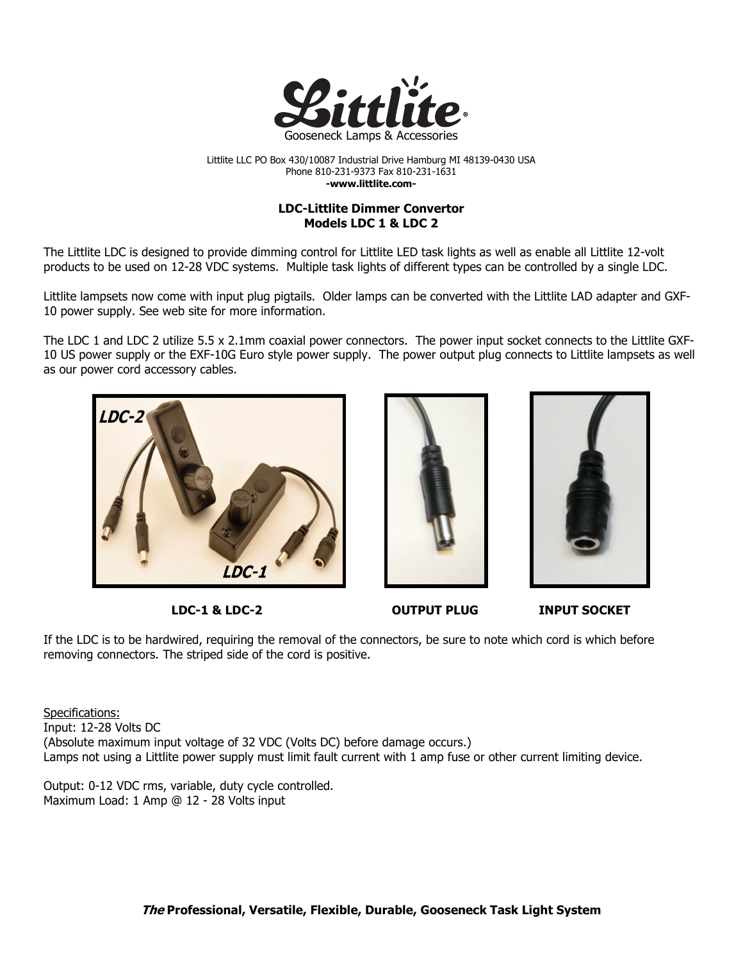

Littlite LLC PO Box 430/10087 Industrial Drive Hamburg MI 48139-0430 USA Phone 810-231-9373 Fax 810-231-1631 -www.littlite.com-

## LDC-Littlite Dimmer Convertor Models LDC 1 & LDC 2

The Littlite LDC is designed to provide dimming control for Littlite LED task lights as well as enable all Littlite 12-volt products to be used on 12-28 VDC systems. Multiple task lights of different types can be controlled by a single LDC.

Littlite lampsets now come with input plug pigtails. Older lamps can be converted with the Littlite LAD adapter and GXF-10 power supply. See web site for more information.

The LDC 1 and LDC 2 utilize 5.5 x 2.1mm coaxial power connectors. The power input socket connects to the Littlite GXF-10 US power supply or the EXF-10G Euro style power supply. The power output plug connects to Littlite lampsets as well as our power cord accessory cables.







LDC-1 & LDC-2 OUTPUT PLUG INPUT SOCKET

If the LDC is to be hardwired, requiring the removal of the connectors, be sure to note which cord is which before removing connectors. The striped side of the cord is positive.

Specifications: Input: 12-28 Volts DC (Absolute maximum input voltage of 32 VDC (Volts DC) before damage occurs.) Lamps not using a Littlite power supply must limit fault current with 1 amp fuse or other current limiting device.

Output: 0-12 VDC rms, variable, duty cycle controlled. Maximum Load: 1 Amp @ 12 - 28 Volts input